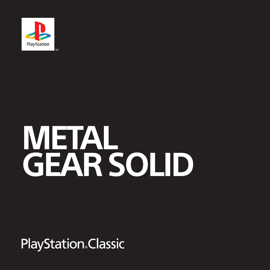

# **METAL GEAR SOLID**

# **PlayStation**. Classic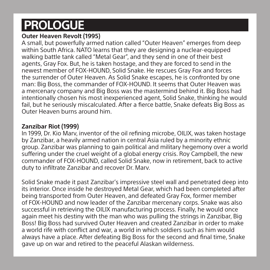# **PROLOGUE**

#### **Outer Heaven Revolt (1995)**

A small, but powerfully armed nation called "Outer Heaven" emerges from deep within South Africa. NATO learns that they are designing a nuclear-equipped walking battle tank called "Metal Gear", and they send in one of their best agents, Gray Fox. But, he is taken hostage, and they are forced to send in the newest member of FOX-HOUND, Solid Snake. He rescues Gray Fox and forces the surrender of Outer Heaven. As Solid Snake escapes, he is confronted by one man: Big Boss, the commander of FOX-HOUND. It seems that Outer Heaven was a mercenary company and Big Boss was the mastermind behind it. Big Boss had intentionally chosen his most inexperienced agent, Solid Snake, thinking he would fail, but he seriously miscalculated. After a fierce battle, Snake defeats Big Boss as Outer Heaven burns around him.

#### **Zanzibar Riot (1999)**

In 1999, Dr. Kio Marv, inventor of the oil refining microbe, OILIX, was taken hostage by Zanzibar, a heavily armed nation in central Asia ruled by a minority ethnic group. Zanzibar was planning to gain political and military hegemony over a world suffering under the cruel weight of a global energy crisis. Roy Campbell, the new commander of FOX-HOUND, called Solid Snake, now in retirement, back to active duty to infiltrate Zanzibar and recover Dr. Marv.

Solid Snake made it past Zanzibar's impressive steel wall and penetrated deep into its interior. Once inside he destroyed Metal Gear, which had been completed after being transported from Outer Heaven, and defeated Gray Fox, former member of FOX-HOUND and now leader of the Zanzibar mercenary corps. Snake was also successful in retrieving the OILIX manufacturing process. Finally, he would once again meet his destiny with the man who was pulling the strings in Zanzibar, Big Boss! Big Boss had survived Outer Heaven and created Zanzibar in order to make a world rife with conflict and war, a world in which soldiers such as him would always have a place. After defeating Big Boss for the second and final time, Snake gave up on war and retired to the peaceful Alaskan wilderness.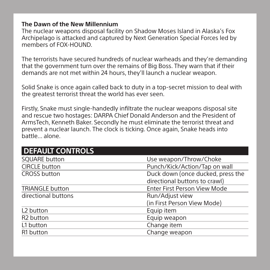#### **The Dawn of the New Millennium**

The nuclear weapons disposal facility on Shadow Moses Island in Alaska's Fox Archipelago is attacked and captured by Next Generation Special Forces led by members of FOX-HOUND.

The terrorists have secured hundreds of nuclear warheads and they're demanding that the government turn over the remains of Big Boss. They warn that if their demands are not met within 24 hours, they'll launch a nuclear weapon.

Solid Snake is once again called back to duty in a top-secret mission to deal with the greatest terrorist threat the world has ever seen.

Firstly, Snake must single-handedly infiltrate the nuclear weapons disposal site and rescue two hostages: DARPA Chief Donald Anderson and the President of ArmsTech, Kenneth Baker. Secondly he must eliminate the terrorist threat and prevent a nuclear launch. The clock is ticking. Once again, Snake heads into battle... alone.

| <b>DEFAULT CONTROLS</b> |                                   |
|-------------------------|-----------------------------------|
| <b>SQUARE button</b>    | Use weapon/Throw/Choke            |
| <b>CIRCLE</b> button    | Punch/Kick/Action/Tap on wall     |
| <b>CROSS button</b>     | Duck down (once ducked, press the |
|                         | directional buttons to crawl)     |
| <b>TRIANGLE button</b>  | Enter First Person View Mode      |
| directional buttons     | Run/Adjust view                   |
|                         | (in First Person View Mode)       |
| L <sub>2</sub> button   | Equip item                        |
| R <sub>2</sub> button   | Equip weapon                      |
| L1 button               | Change item                       |
| R <sub>1</sub> button   | Change weapon                     |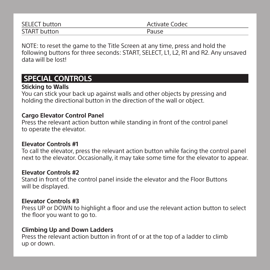| <b>SELECT</b> button | Activate Codec |
|----------------------|----------------|
| <b>START</b> button  | Pause          |

NOTE: to reset the game to the Title Screen at any time, press and hold the following buttons for three seconds: START, SELECT, L1, L2, R1 and R2. Any unsaved data will be lost!

# **SPECIAL CONTROLS**

#### **Sticking to Walls**

You can stick your back up against walls and other objects by pressing and holding the directional button in the direction of the wall or object.

#### **Cargo Elevator Control Panel**

Press the relevant action button while standing in front of the control panel to operate the elevator.

#### **Elevator Controls #1**

To call the elevator, press the relevant action button while facing the control panel next to the elevator. Occasionally, it may take some time for the elevator to appear.

#### **Elevator Controls #2**

Stand in front of the control panel inside the elevator and the Floor Buttons will be displayed.

#### **Elevator Controls #3**

Press UP or DOWN to highlight a floor and use the relevant action button to select the floor you want to go to.

#### **Climbing Up and Down Ladders**

Press the relevant action button in front of or at the top of a ladder to climb up or down.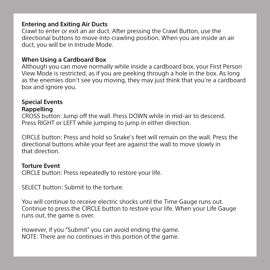#### **Entering and Exiting Air Ducts**

Crawl to enter or exit an air duct. After pressing the Crawl Button, use the directional buttons to move into crawling position. When you are inside an air duct, you will be in Intrude Mode.

#### **When Using a Cardboard Box**

Although you can move normally while inside a cardboard box, your First Person View Mode is restricted, as if you are peeking through a hole in the box. As long as the enemies don't see you moving, they may just think that you're a cardboard box and ignore you.

#### **Special Events Rappelling**

CROSS button: Jump off the wall. Press DOWN while in mid-air to descend. Press RIGHT or LEFT while jumping to jump in either direction.

CIRCLE button: Press and hold so Snake's feet will remain on the wall. Press the directional buttons while your feet are against the wall to move slowly in that direction.

#### **Torture Event**

CIRCLE button: Press repeatedly to restore your life.

SELECT button: Submit to the torture.

You will continue to receive electric shocks until the Time Gauge runs out. Continue to press the CIRCLE button to restore your life. When your Life Gauge runs out, the game is over.

However, if you "Submit" you can avoid ending the game. NOTE: There are no continues in this portion of the game.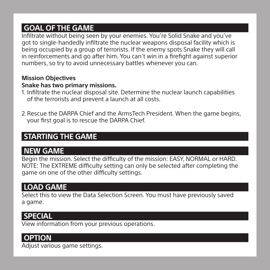# **GOAL OF THE GAME**

Infiltrate without being seen by your enemies. You're Solid Snake and you've got to single-handedly infiltrate the nuclear weapons disposal facility which is being occupied by a group of terrorists. If the enemy spots Snake they will call in reinforcements and go after him. You can't win in a firefight against superior numbers, so try to avoid unnecessary battles whenever you can.

#### **Mission Objectives**

#### **Snake has two primary missions.**

- 1. Infiltrate the nuclear disposal site. Determine the nuclear launch capabilities of the terrorists and prevent a launch at all costs.
- 2. Rescue the DARPA Chief and the ArmsTech President. When the game begins, your first goal is to rescue the DARPA Chief.

# **STARTING THE GAME**

# **NEW GAME**

Begin the mission. Select the difficulty of the mission: EASY, NORMAL or HARD. NOTE: The EXTREME difficulty setting can only be selected after completing the game on one of the other difficulty settings.

# **LOAD GAME**

Select this to view the Data Selection Screen. You must have previously saved a game.

# **SPECIAL**

View information from your previous operations.

# **OPTION**

Adjust various game settings.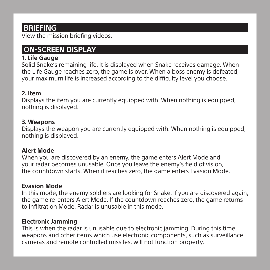# **BRIEFING**

View the mission briefing videos.

# **ON-SCREEN DISPLAY**

#### **1. Life Gauge**

Solid Snake's remaining life. It is displayed when Snake receives damage. When the Life Gauge reaches zero, the game is over. When a boss enemy is defeated, your maximum life is increased according to the difficulty level you choose.

#### **2. Item**

Displays the item you are currently equipped with. When nothing is equipped, nothing is displayed.

#### **3. Weapons**

Displays the weapon you are currently equipped with. When nothing is equipped, nothing is displayed.

#### **Alert Mode**

When you are discovered by an enemy, the game enters Alert Mode and your radar becomes unusable. Once you leave the enemy's field of vision, the countdown starts. When it reaches zero, the game enters Evasion Mode.

#### **Evasion Mode**

In this mode, the enemy soldiers are looking for Snake. If you are discovered again, the game re-enters Alert Mode. If the countdown reaches zero, the game returns to Infiltration Mode. Radar is unusable in this mode.

#### **Electronic Jamming**

This is when the radar is unusable due to electronic jamming. During this time, weapons and other items which use electronic components, such as surveillance cameras and remote controlled missiles, will not function property.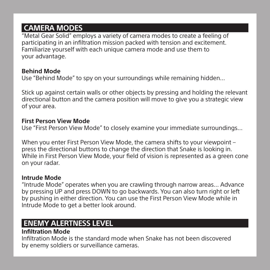# **CAMERA MODES**

"Metal Gear Solid" employs a variety of camera modes to create a feeling of participating in an infiltration mission packed with tension and excitement. Familiarize yourself with each unique camera mode and use them to your advantage.

#### **Behind Mode**

Use "Behind Mode" to spy on your surroundings while remaining hidden…

Stick up against certain walls or other objects by pressing and holding the relevant directional button and the camera position will move to give you a strategic view of your area.

#### **First Person View Mode**

Use "First Person View Mode" to closely examine your immediate surroundings…

When you enter First Person View Mode, the camera shifts to your viewpoint – press the directional buttons to change the direction that Snake is looking in. While in First Person View Mode, your field of vision is represented as a green cone on your radar.

#### **Intrude Mode**

"Intrude Mode" operates when you are crawling through narrow areas… Advance by pressing UP and press DOWN to go backwards. You can also turn right or left by pushing in either direction. You can use the First Person View Mode while in Intrude Mode to get a better look around.

# **ENEMY ALERTNESS LEVEL**

#### **Infiltration Mode**

Infiltration Mode is the standard mode when Snake has not been discovered by enemy soldiers or surveillance cameras.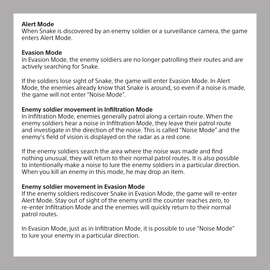#### **Alert Mode**

When Snake is discovered by an enemy soldier or a surveillance camera, the game enters Alert Mode.

#### **Evasion Mode**

In Evasion Mode, the enemy soldiers are no longer patrolling their routes and are actively searching for Snake.

If the soldiers lose sight of Snake, the game will enter Evasion Mode. In Alert Mode, the enemies already know that Snake is around, so even if a noise is made. the game will not enter "Noise Mode".

#### **Enemy soldier movement in Infiltration Mode**

In Infiltration Mode, enemies generally patrol along a certain route. When the enemy soldiers hear a noise in Infiltration Mode, they leave their patrol route and investigate in the direction of the noise. This is called "Noise Mode" and the enemy's field of vision is displayed on the radar as a red cone.

If the enemy soldiers search the area where the noise was made and find nothing unusual, they will return to their normal patrol routes. It is also possible to intentionally make a noise to lure the enemy soldiers in a particular direction. When you kill an enemy in this mode, he may drop an item.

#### **Enemy soldier movement in Evasion Mode**

If the enemy soldiers rediscover Snake in Evasion Mode, the game will re-enter Alert Mode. Stay out of sight of the enemy until the counter reaches zero, to re-enter Infiltration Mode and the enemies will quickly return to their normal patrol routes.

In Evasion Mode, just as in Infiltration Mode, it is possible to use "Noise Mode" to lure your enemy in a particular direction.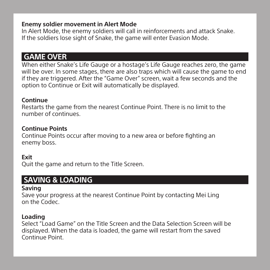#### **Enemy soldier movement in Alert Mode**

In Alert Mode, the enemy soldiers will call in reinforcements and attack Snake. If the soldiers lose sight of Snake, the game will enter Evasion Mode.

# **GAME OVER**

When either Snake's Life Gauge or a hostage's Life Gauge reaches zero, the game will be over. In some stages, there are also traps which will cause the game to end if they are triggered. After the "Game Over" screen, wait a few seconds and the option to Continue or Exit will automatically be displayed.

#### **Continue**

Restarts the game from the nearest Continue Point. There is no limit to the number of continues.

#### **Continue Points**

Continue Points occur after moving to a new area or before fighting an enemy boss.

#### **Exit**

Quit the game and return to the Title Screen.

## **SAVING & LOADING**

#### **Saving**

Save your progress at the nearest Continue Point by contacting Mei Ling on the Codec.

#### **Loading**

Select "Load Game" on the Title Screen and the Data Selection Screen will be displayed. When the data is loaded, the game will restart from the saved Continue Point.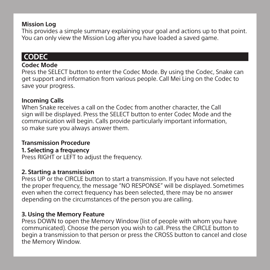#### **Mission Log**

This provides a simple summary explaining your goal and actions up to that point. You can only view the Mission Log after you have loaded a saved game.

## **CODEC**

#### **Codec Mode**

Press the SELECT button to enter the Codec Mode. By using the Codec, Snake can get support and information from various people. Call Mei Ling on the Codec to save your progress.

#### **Incoming Calls**

When Snake receives a call on the Codec from another character, the Call sign will be displayed. Press the SELECT button to enter Codec Mode and the communication will begin. Calls provide particularly important information, so make sure you always answer them.

#### **Transmission Procedure**

#### **1. Selecting a frequency**

Press RIGHT or LEFT to adjust the frequency.

#### **2. Starting a transmission**

Press UP or the CIRCLE button to start a transmission. If you have not selected the proper frequency, the message "NO RESPONSE" will be displayed. Sometimes even when the correct frequency has been selected, there may be no answer depending on the circumstances of the person you are calling.

#### **3. Using the Memory Feature**

Press DOWN to open the Memory Window (list of people with whom you have communicated). Choose the person you wish to call. Press the CIRCLE button to begin a transmission to that person or press the CROSS button to cancel and close the Memory Window.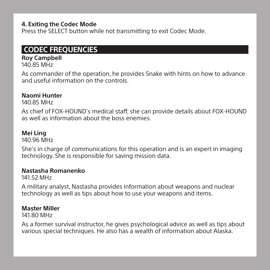#### **4. Exiting the Codec Mode**

Press the SELECT button while not transmitting to exit Codec Mode.

# **CODEC FREQUENCIES**

#### **Roy Campbell**

140.85 MHz

As commander of the operation, he provides Snake with hints on how to advance and useful information on the controls.

#### **Naomi Hunter**

140.85 MHz

As chief of FOX-HOUND's medical staff, she can provide details about FOX-HOUND as well as information about the boss enemies.

#### **Mei Ling**

140.96 MHz

She's in charge of communications for this operation and is an expert in imaging technology. She is responsible for saving mission data.

#### **Nastasha Romanenko**

141.52 MHz

A military analyst, Nastasha provides information about weapons and nuclear technology as well as tips about how to use your weapons and items.

#### **Master Miller**

141.80 MHz

As a former survival instructor, he gives psychological advice as well as tips about various special techniques. He also has a wealth of information about Alaska.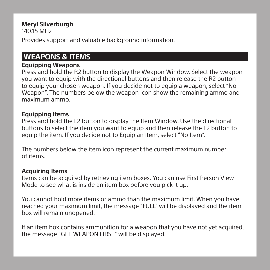#### **Meryl Silverburgh**

 $140.15$  MHz

Provides support and valuable background information.

## **WEAPONS & ITEMS**

#### **Equipping Weapons**

Press and hold the R2 button to display the Weapon Window. Select the weapon you want to equip with the directional buttons and then release the R2 button to equip your chosen weapon. If you decide not to equip a weapon, select "No Weapon". The numbers below the weapon icon show the remaining ammo and maximum ammo.

#### **Equipping Items**

Press and hold the L2 button to display the Item Window. Use the directional buttons to select the item you want to equip and then release the L2 button to equip the item. If you decide not to Equip an Item, select "No Item".

The numbers below the item icon represent the current maximum number of items.

#### **Acquiring Items**

Items can be acquired by retrieving item boxes. You can use First Person View Mode to see what is inside an item box before you pick it up.

You cannot hold more items or ammo than the maximum limit. When you have reached your maximum limit, the message "FULL" will be displayed and the item box will remain unopened.

If an item box contains ammunition for a weapon that you have not yet acquired, the message "GET WEAPON FIRST" will be displayed.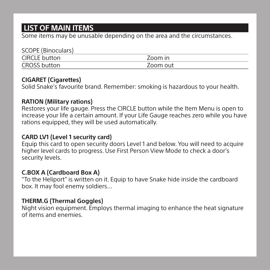# **LIST OF MAIN ITEMS**

Some items may be unusable depending on the area and the circumstances.

| SCOPE (Binoculars)  |          |
|---------------------|----------|
| CIRCLE button       | Zoom in  |
| <b>CROSS button</b> | Zoom out |

#### **CIGARET (Cigarettes)**

Solid Snake's favourite brand. Remember: smoking is hazardous to your health.

#### **RATION (Military rations)**

Restores your life gauge. Press the CIRCLE button while the Item Menu is open to increase your life a certain amount. If your Life Gauge reaches zero while you have rations equipped, they will be used automatically.

#### **CARD LV1 (Level 1 security card)**

Equip this card to open security doors Level 1 and below. You will need to acquire higher level cards to progress. Use First Person View Mode to check a door's security levels.

#### **C.BOX A (Cardboard Box A)**

"To the Heliport" is written on it. Equip to have Snake hide inside the cardboard box. It may fool enemy soldiers…

#### **THERM.G (Thermal Goggles)**

Night vision equipment. Employs thermal imaging to enhance the heat signature of items and enemies.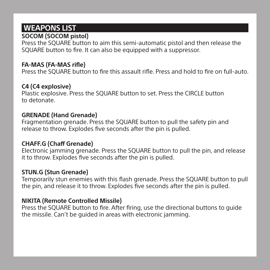# **WEAPONS LIST**

#### **SOCOM (SOCOM pistol)**

Press the SQUARE button to aim this semi-automatic pistol and then release the SQUARE button to fire. It can also be equipped with a suppressor.

#### **FA-MAS (FA-MAS rifle)**

Press the SQUARE button to fire this assault rifle. Press and hold to fire on full-auto.

#### **C4 (C4 explosive)**

Plastic explosive. Press the SQUARE button to set. Press the CIRCLE button to detonate.

#### **GRENADE (Hand Grenade)**

Fragmentation grenade. Press the SQUARE button to pull the safety pin and release to throw. Explodes five seconds after the pin is pulled.

#### **CHAFF.G (Chaff Grenade)**

Electronic jamming grenade. Press the SQUARE button to pull the pin, and release it to throw. Explodes five seconds after the pin is pulled.

#### **STUN.G (Stun Grenade)**

Temporarily stun enemies with this flash grenade. Press the SQUARE button to pull the pin, and release it to throw. Explodes five seconds after the pin is pulled.

#### **NIKITA (Remote Controlled Missile)**

Press the SQUARE button to fire. After firing, use the directional buttons to guide the missile. Can't be guided in areas with electronic jamming.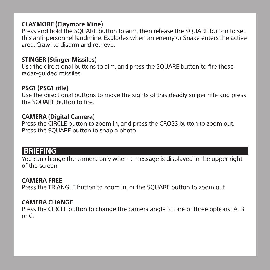#### **CLAYMORE (Claymore Mine)**

Press and hold the SQUARE button to arm, then release the SQUARE button to set this anti-personnel landmine. Explodes when an enemy or Snake enters the active area. Crawl to disarm and retrieve.

#### **STINGER (Stinger Missiles)**

Use the directional buttons to aim, and press the SQUARE button to fire these radar-guided missiles.

#### **PSG1 (PSG1 rifle)**

Use the directional buttons to move the sights of this deadly sniper rifle and press the SQUARE button to fire.

#### **CAMERA (Digital Camera)**

Press the CIRCLE button to zoom in, and press the CROSS button to zoom out. Press the SQUARE button to snap a photo.

# **BRIEFING**

You can change the camera only when a message is displayed in the upper right of the screen.

#### **CAMERA FREE**

Press the TRIANGLE button to zoom in, or the SQUARE button to zoom out.

#### **CAMERA CHANGE**

Press the CIRCLE button to change the camera angle to one of three options: A, B or C.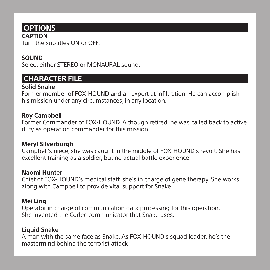# **OPTIONS**

**CAPTION** Turn the subtitles ON or OFF.

#### **SOUND**

Select either STEREO or MONAURAL sound

# **CHARACTER FILE**

#### **Solid Snake**

Former member of FOX-HOUND and an expert at infiltration. He can accomplish his mission under any circumstances, in any location.

#### **Roy Campbell**

Former Commander of FOX-HOUND. Although retired, he was called back to active duty as operation commander for this mission.

#### **Meryl Silverburgh**

Campbell's niece, she was caught in the middle of FOX-HOUND's revolt. She has excellent training as a soldier, but no actual battle experience.

#### **Naomi Hunter**

Chief of FOX-HOUND's medical staff, she's in charge of gene therapy. She works along with Campbell to provide vital support for Snake.

#### **Mei Ling**

Operator in charge of communication data processing for this operation. She invented the Codec communicator that Snake uses.

#### **Liquid Snake**

A man with the same face as Snake. As FOX-HOUND's squad leader, he's the mastermind behind the terrorist attack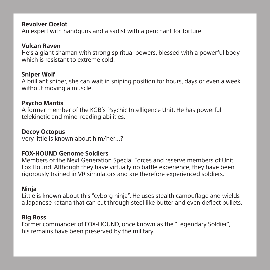#### **Revolver Ocelot**

An expert with handguns and a sadist with a penchant for torture.

#### **Vulcan Raven**

He's a giant shaman with strong spiritual powers, blessed with a powerful body which is resistant to extreme cold.

#### **Sniper Wolf**

A brilliant sniper, she can wait in sniping position for hours, days or even a week without moving a muscle.

#### **Psycho Mantis**

A former member of the KGB's Psychic Intelligence Unit. He has powerful telekinetic and mind-reading abilities.

#### **Decoy Octopus**

Very little is known about him/her…?

#### **FOX-HOUND Genome Soldiers**

Members of the Next Generation Special Forces and reserve members of Unit Fox Hound. Although they have virtually no battle experience, they have been rigorously trained in VR simulators and are therefore experienced soldiers.

#### **Ninja**

Little is known about this "cyborg ninja". He uses stealth camouflage and wields a Japanese katana that can cut through steel like butter and even deflect bullets.

#### **Big Boss**

Former commander of FOX-HOUND, once known as the "Legendary Soldier", his remains have been preserved by the military.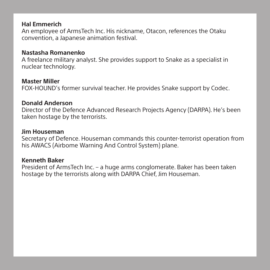#### **Hal Emmerich**

An employee of ArmsTech Inc. His nickname, Otacon, references the Otaku convention, a Japanese animation festival.

#### **Nastasha Romanenko**

A freelance military analyst. She provides support to Snake as a specialist in nuclear technology.

#### **Master Miller**

FOX-HOUND's former survival teacher. He provides Snake support by Codec.

#### **Donald Anderson**

Director of the Defence Advanced Research Projects Agency (DARPA). He's been taken hostage by the terrorists.

#### **Jim Houseman**

Secretary of Defence. Houseman commands this counter-terrorist operation from his AWACS (Airbome Warning And Control System) plane.

#### **Kenneth Baker**

President of ArmsTech Inc. – a huge arms conglomerate. Baker has been taken hostage by the terrorists along with DARPA Chief, Jim Houseman.